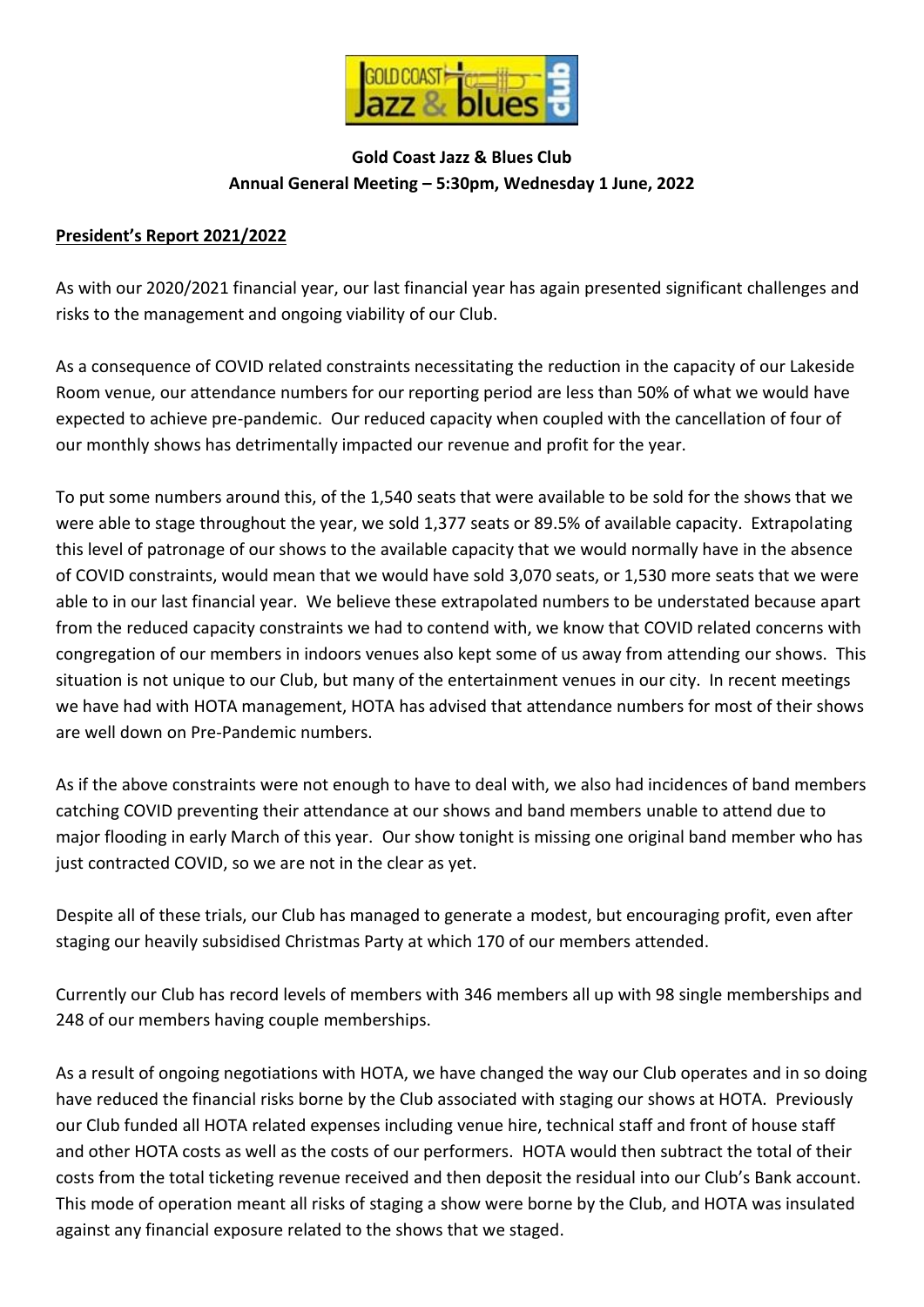

## **Gold Coast Jazz & Blues Club Annual General Meeting – 5:30pm, Wednesday 1 June, 2022**

## **President's Report 2021/2022**

As with our 2020/2021 financial year, our last financial year has again presented significant challenges and risks to the management and ongoing viability of our Club.

As a consequence of COVID related constraints necessitating the reduction in the capacity of our Lakeside Room venue, our attendance numbers for our reporting period are less than 50% of what we would have expected to achieve pre-pandemic. Our reduced capacity when coupled with the cancellation of four of our monthly shows has detrimentally impacted our revenue and profit for the year.

To put some numbers around this, of the 1,540 seats that were available to be sold for the shows that we were able to stage throughout the year, we sold 1,377 seats or 89.5% of available capacity. Extrapolating this level of patronage of our shows to the available capacity that we would normally have in the absence of COVID constraints, would mean that we would have sold 3,070 seats, or 1,530 more seats that we were able to in our last financial year. We believe these extrapolated numbers to be understated because apart from the reduced capacity constraints we had to contend with, we know that COVID related concerns with congregation of our members in indoors venues also kept some of us away from attending our shows. This situation is not unique to our Club, but many of the entertainment venues in our city. In recent meetings we have had with HOTA management, HOTA has advised that attendance numbers for most of their shows are well down on Pre-Pandemic numbers.

As if the above constraints were not enough to have to deal with, we also had incidences of band members catching COVID preventing their attendance at our shows and band members unable to attend due to major flooding in early March of this year. Our show tonight is missing one original band member who has just contracted COVID, so we are not in the clear as yet.

Despite all of these trials, our Club has managed to generate a modest, but encouraging profit, even after staging our heavily subsidised Christmas Party at which 170 of our members attended.

Currently our Club has record levels of members with 346 members all up with 98 single memberships and 248 of our members having couple memberships.

As a result of ongoing negotiations with HOTA, we have changed the way our Club operates and in so doing have reduced the financial risks borne by the Club associated with staging our shows at HOTA. Previously our Club funded all HOTA related expenses including venue hire, technical staff and front of house staff and other HOTA costs as well as the costs of our performers. HOTA would then subtract the total of their costs from the total ticketing revenue received and then deposit the residual into our Club's Bank account. This mode of operation meant all risks of staging a show were borne by the Club, and HOTA was insulated against any financial exposure related to the shows that we staged.